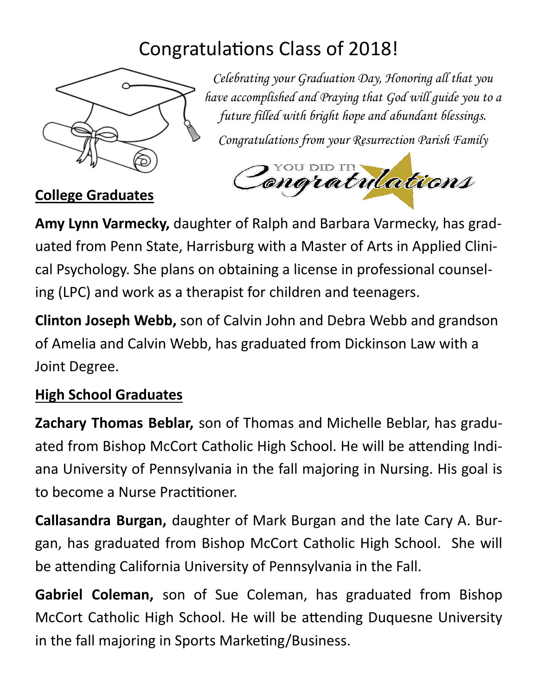## Congratulations Class of 2018!



*Celebrating your Graduation Day, Honoring all that you have accomplished and Praying that God will guide you to a future filled with bright hope and abundant blessings.* 

*Congratulations from your Resurrection Parish Family*



**College Graduates**

**Amy Lynn Varmecky,** daughter of Ralph and Barbara Varmecky, has grad‐ uated from Penn State, Harrisburg with a Master of Arts in Applied Clini‐ cal Psychology. She plans on obtaining a license in professional counsel‐ ing (LPC) and work as a therapist for children and teenagers.

**Clinton Joseph Webb,** son of Calvin John and Debra Webb and grandson of Amelia and Calvin Webb, has graduated from Dickinson Law with a Joint Degree.

## **High School Graduates**

**Zachary Thomas Beblar,** son of Thomas and Michelle Beblar, has gradu‐ ated from Bishop McCort Catholic High School. He will be attending Indiana University of Pennsylvania in the fall majoring in Nursing. His goal is to become a Nurse Practitioner.

**Callasandra Burgan,** daughter of Mark Burgan and the late Cary A. Bur‐ gan, has graduated from Bishop McCort Catholic High School. She will be attending California University of Pennsylvania in the Fall.

**Gabriel Coleman,** son of Sue Coleman, has graduated from Bishop McCort Catholic High School. He will be attending Duquesne University in the fall majoring in Sports Marketing/Business.